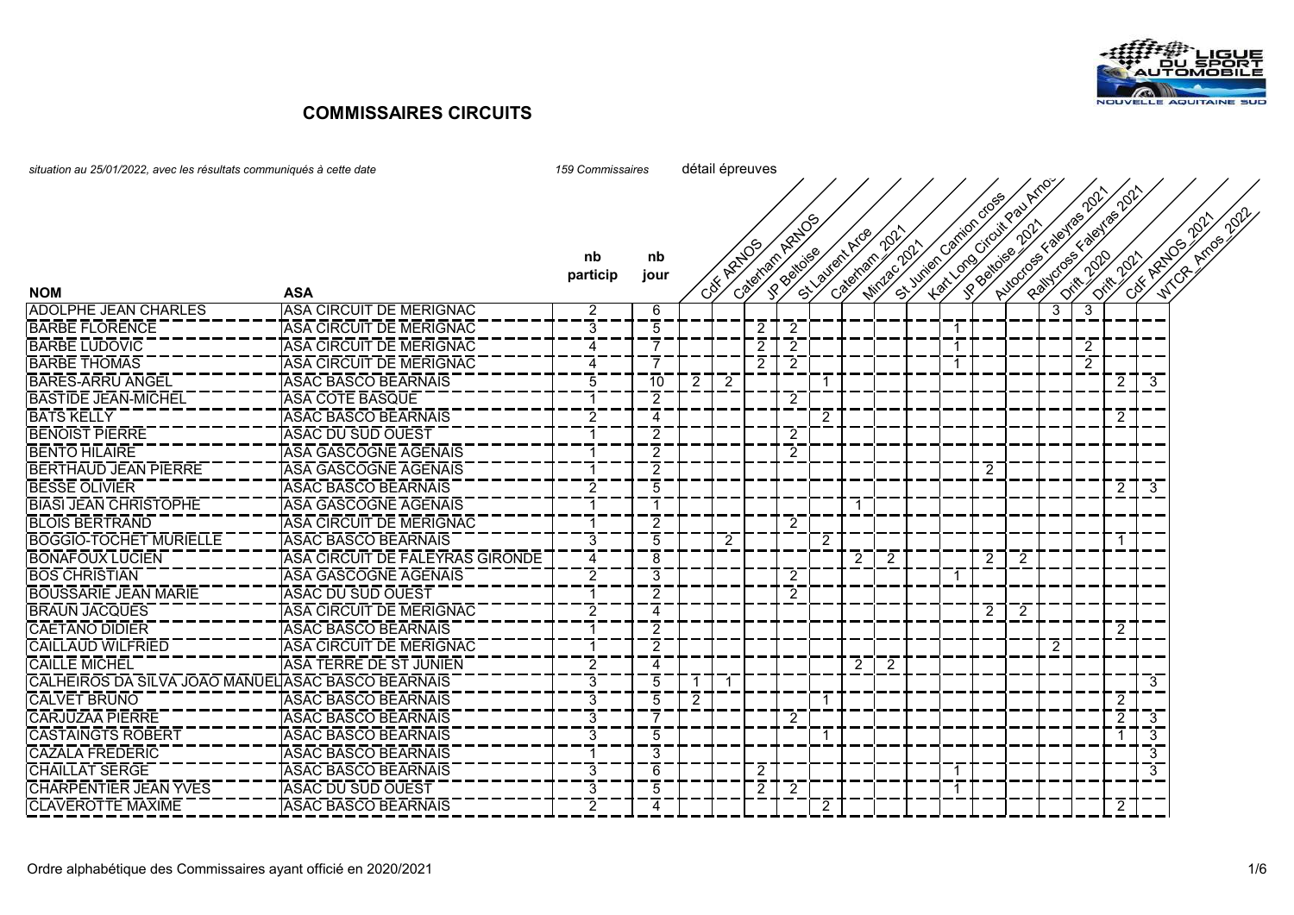

| situation au 25/01/2022, avec les résultats communiqués à cette date | 159 Commissaires                |                | détail épreuves |   |            |                      |                |   |                  |             |  |                |                                                               |   |                                                 |                |                 |                         |                          |
|----------------------------------------------------------------------|---------------------------------|----------------|-----------------|---|------------|----------------------|----------------|---|------------------|-------------|--|----------------|---------------------------------------------------------------|---|-------------------------------------------------|----------------|-----------------|-------------------------|--------------------------|
|                                                                      |                                 |                |                 |   |            |                      | Cateman Ratios |   |                  | $\phi^2$    |  |                | St June of Canadage<br>Lat London Croix Pay Y<br>PROJECTOR DD |   | Autoros E valuas 2021<br>Painters & Beyros 2011 |                |                 |                         | 2021<br>2021             |
|                                                                      |                                 | nb             | nb              |   | Cox Aztros |                      |                |   | St. Vallent Arge | Minder 2021 |  |                |                                                               |   |                                                 |                |                 |                         | WTCA Arnos<br>Cott Azzon |
|                                                                      |                                 | particip       | jour            |   |            |                      |                |   | Cateman          |             |  |                |                                                               |   |                                                 |                | <b>018-2021</b> |                         |                          |
| <b>NOM</b>                                                           | <b>ASA</b>                      |                |                 |   |            |                      |                |   |                  |             |  |                |                                                               |   |                                                 |                |                 |                         |                          |
| <b>ADOLPHE JEAN CHARLES</b>                                          | <b>ASA CIRCUIT DE MERIGNAC</b>  | 2              | 6               |   |            |                      |                |   |                  |             |  |                |                                                               |   | 3                                               | 3              |                 |                         |                          |
| <b>BARBE FLORENCE</b>                                                | ASA CIRCUIT DE MERIGNAC         | 3              | 5               |   |            | 2                    | 2              |   |                  |             |  | $\overline{1}$ |                                                               |   |                                                 |                |                 |                         |                          |
| <b>BARBE LUDOVIC</b>                                                 | ASA CIRCUIT DE MERIGNAC         | 4              |                 |   |            | 2                    | 2              |   |                  |             |  | -1             |                                                               |   |                                                 | $\overline{2}$ |                 |                         |                          |
| <b>BARBE THOMAS</b>                                                  | ASA CIRCUIT DE MERIGNAC         | 4              |                 |   |            | 2                    | 2              |   |                  |             |  | -1             |                                                               |   |                                                 | $\overline{2}$ |                 |                         |                          |
| <b>BARES-ARRU ANGEL</b>                                              | <b>ASAC BASCO BEARNAIS</b>      | 5              | 10              | 2 | 2          |                      |                |   |                  |             |  |                |                                                               |   |                                                 |                | $\mathbf{2}$    | -3                      |                          |
| <b>BASTIDE JEAN-MICHEL</b>                                           | <b>ASA COTE BASQUE</b>          |                | 2               |   |            |                      | 2              |   |                  |             |  |                |                                                               |   |                                                 |                |                 |                         |                          |
| <b>BATS KELLY</b>                                                    | <b>ASAC BASCO BEARNAIS</b>      | $\overline{2}$ | 4               |   |            |                      |                | 2 |                  |             |  |                |                                                               |   |                                                 |                | 2               |                         |                          |
| <b>BENOIST PIERRE</b>                                                | ASAC DU SUD OUEST               |                | 2               |   |            |                      | 2              |   |                  |             |  |                |                                                               |   |                                                 |                |                 |                         |                          |
| <b>BENTO HILAIRE</b>                                                 | ASA GASCOGNE AGENAIS            |                | 2               |   |            |                      | 2              |   |                  |             |  |                |                                                               |   |                                                 |                |                 |                         |                          |
| <b>BERTHAUD JEAN PIERRE</b>                                          | <b>ASA GASCOGNE AGENAIS</b>     |                | 2               |   |            |                      |                |   |                  |             |  |                | 2                                                             |   |                                                 |                |                 |                         |                          |
| <b>BESSE OLIVIER</b>                                                 | <b>ASAC BASCO BEARNAIS</b>      | $\overline{2}$ | 5               |   |            |                      |                |   |                  |             |  |                |                                                               |   |                                                 |                | $\mathbf{2}$    | -3                      |                          |
| <b>BIASI JEAN CHRISTOPHE</b>                                         | ASA GASCOGNE AGENAIS            |                |                 |   |            |                      |                |   |                  |             |  |                |                                                               |   |                                                 |                |                 |                         |                          |
| <b>BLOIS BERTRAND</b>                                                | <b>ASA CIRCUIT DE MERIGNAC</b>  |                | 2               |   |            |                      | 2              |   |                  |             |  |                |                                                               |   |                                                 |                |                 |                         |                          |
| <b>BOGGIO-TOCHET MURIELLE</b>                                        | <b>ASAC BASCO BEARNAIS</b>      | 3              | 5               |   | 2          |                      |                |   |                  |             |  |                |                                                               |   |                                                 |                | -1              |                         |                          |
| <b>BONAFOUX LUCIEN</b>                                               | ASA CIRCUIT DE FALEYRAS GIRONDE | $\overline{4}$ | 8               |   |            |                      |                |   |                  | 2           |  |                | 2                                                             | 2 |                                                 |                |                 |                         |                          |
| <b>BOS CHRISTIAN</b>                                                 | ASA GASCOGNE AGENAIS            | 2              | 3               |   |            |                      | 2              |   |                  |             |  |                |                                                               |   |                                                 |                |                 |                         |                          |
| <b>BOUSSARIE JEAN MARIE</b>                                          | ASAC DU SUD OUEST               |                | 2               |   |            |                      | 2              |   |                  |             |  |                |                                                               |   |                                                 |                |                 |                         |                          |
| <b>BRAUN JACQUES</b>                                                 | ASA CIRCUIT DE MERIGNAC         | 2              | 4               |   |            |                      |                |   |                  |             |  |                | 2                                                             | 2 |                                                 |                |                 |                         |                          |
| <b>CAETANO DIDIER</b>                                                | <b>ASAC BASCO BEARNAIS</b>      |                | 2               |   |            |                      |                |   |                  |             |  |                |                                                               |   |                                                 |                | 2               |                         |                          |
| <b>CAILLAUD WILFRIED</b>                                             | <b>ASA CIRCUIT DE MERIGNAC</b>  |                | 2               |   |            |                      |                |   |                  |             |  |                |                                                               |   | 2                                               |                |                 |                         |                          |
| <b>CAILLE MICHEL</b>                                                 | <b>ASA TERRE DE ST JUNIEN</b>   | 2              | 4               |   |            |                      |                |   | $\mathbf{2}$     | -2          |  |                |                                                               |   |                                                 |                |                 |                         |                          |
| CALHEIROS DA SILVA JOAO MANUEL ASAC BASCO BEARNAIS                   |                                 | 3              | 5               |   |            |                      |                |   |                  |             |  |                |                                                               |   |                                                 |                |                 | 3                       |                          |
| <b>CALVET BRUNO</b>                                                  | <b>ASAC BASCO BEARNAIS</b>      | 3              | 5               | 2 |            |                      |                |   |                  |             |  |                |                                                               |   |                                                 |                | $\overline{2}$  |                         |                          |
| <b>CARJUZAA PIERRE</b>                                               | <b>ASAC BASCO BEARNAIS</b>      | 3              |                 |   |            |                      | 2              |   |                  |             |  |                |                                                               |   |                                                 |                | 2 <sup>1</sup>  | -3                      |                          |
| <b>CASTAINGTS ROBERT</b>                                             | <b>ASAC BASCO BEARNAIS</b>      | 3              | 5               |   |            |                      |                |   |                  |             |  |                |                                                               |   |                                                 |                | $\mathbf{1}$    | -3                      |                          |
| <b>CAZALA FREDERIC</b>                                               | <b>ASAC BASCO BEARNAIS</b>      | -1             | 3               |   |            |                      |                |   |                  |             |  |                |                                                               |   |                                                 |                |                 | $\overline{\mathbf{3}}$ |                          |
| <b>CHAILLAT SERGE</b>                                                | <b>ASAC BASCO BEARNAIS</b>      | 3              | 6               |   |            | 2                    |                |   |                  |             |  |                |                                                               |   |                                                 |                |                 | 3                       |                          |
| <b>CHARPENTIER JEAN YVES</b>                                         | <b>ASAC DU SUD OUEST</b>        | $\overline{3}$ | 5               |   |            | $\mathbf{2}^{\circ}$ | 2              |   |                  |             |  |                |                                                               |   |                                                 |                |                 |                         |                          |
| <b>CLAVEROTTE MAXIME</b>                                             | <b>ASAC BASCO BEARNAIS</b>      | $\overline{2}$ | Δ               |   |            |                      |                |   |                  |             |  |                |                                                               |   |                                                 |                | $\overline{2}$  |                         |                          |
|                                                                      |                                 |                |                 |   |            |                      |                |   |                  |             |  |                |                                                               |   |                                                 |                |                 |                         |                          |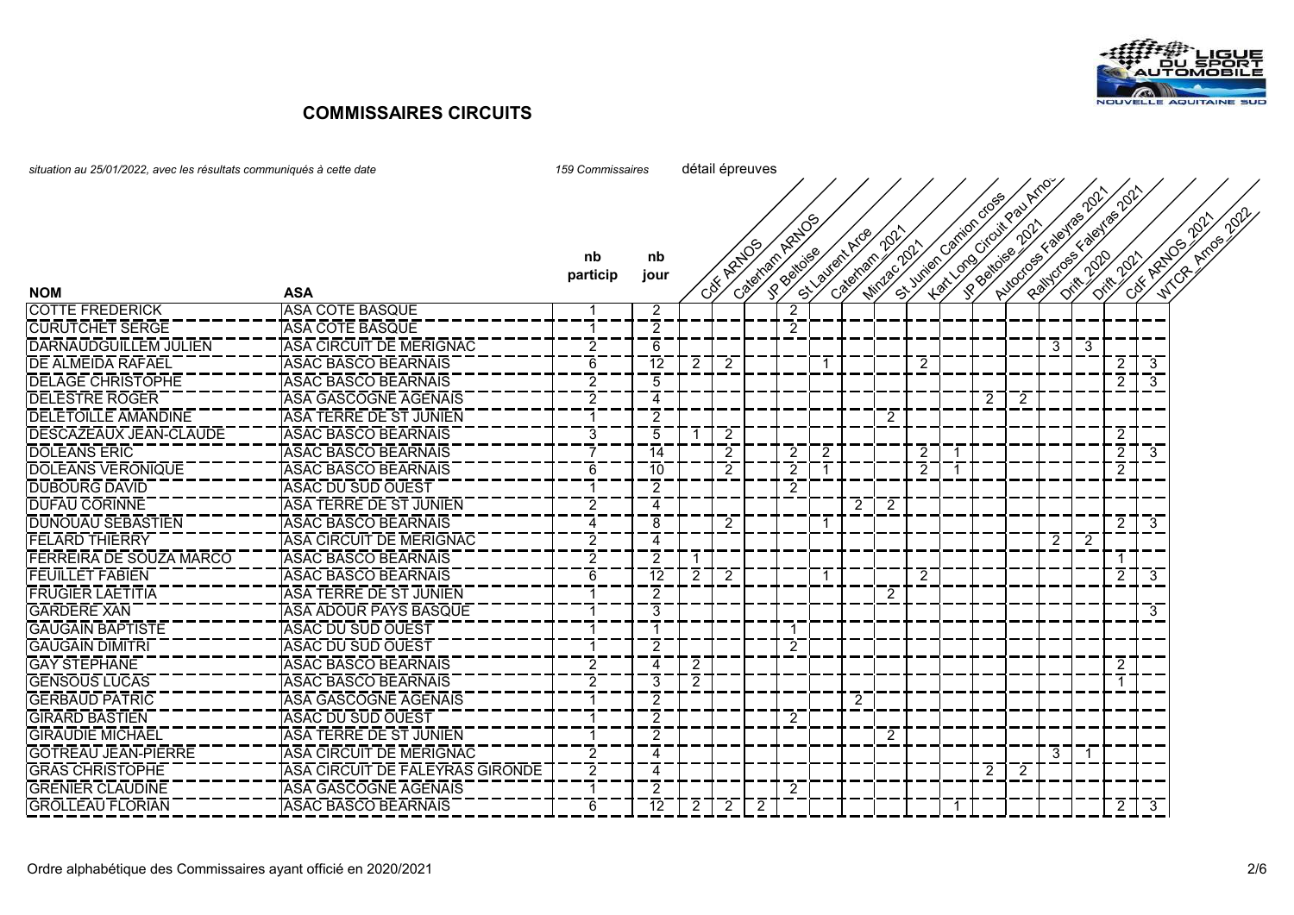

| situation au 25/01/2022, avec les résultats communiqués à cette date | 159 Commissaires                | détail épreuves         |                |   |           |                |                |   |                            |                     |                |  |                                                          |                |                                                   |    |                |             |                             |
|----------------------------------------------------------------------|---------------------------------|-------------------------|----------------|---|-----------|----------------|----------------|---|----------------------------|---------------------|----------------|--|----------------------------------------------------------|----------------|---------------------------------------------------|----|----------------|-------------|-----------------------------|
|                                                                      |                                 |                         |                |   |           |                |                |   |                            |                     |                |  |                                                          |                |                                                   |    |                |             | 2021                        |
| <b>NOM</b>                                                           | <b>ASA</b>                      | nb<br>particip          | nb<br>jour     |   | CSK ARADS | Cateman Ration |                |   | St. Valley Arce<br>Cateman | 202<br>Mindage 2021 |                |  | Hart London Citour Republican<br>St June of British does |                | Paintons & Pael Tras 2011<br>Autocos E valentas's |    | Difference     | CNE ARTICO' | Arrange 2021<br><b>Mich</b> |
| <b>COTTE FREDERICK</b>                                               | <b>ASA COTE BASQUE</b>          | -1                      | $\overline{2}$ |   |           |                | $\overline{c}$ |   |                            |                     |                |  |                                                          |                |                                                   |    |                |             |                             |
| <b>CURUTCHET SERGE</b>                                               | <b>ASA COTE BASQUE</b>          | $\mathbf{1}$            | $\overline{2}$ |   |           |                | $\overline{2}$ |   |                            |                     |                |  |                                                          |                |                                                   |    |                |             |                             |
| <b>DARNAUDGUILLEM JULIEN</b>                                         | ASA CIRCUIT DE MERIGNAC         | 2                       | 6              |   |           |                |                |   |                            |                     |                |  |                                                          |                | 3                                                 | 3  |                |             |                             |
| <b>DE ALMEIDA RAFAEL</b>                                             | <b>ASAC BASCO BEARNAIS</b>      | 6                       | 12             | 2 | -2        |                |                |   |                            |                     | 2              |  |                                                          |                |                                                   |    | 2              | 3           |                             |
| <b>DELAGE CHRISTOPHE</b>                                             | <b>ASAC BASCO BEARNAIS</b>      | $\overline{c}$          | 5              |   |           |                |                |   |                            |                     |                |  |                                                          |                |                                                   |    | 2              | 3           |                             |
| <b>DELESTRE ROGER</b>                                                | <b>ASA GASCOGNE AGENAIS</b>     | $\overline{2}$          | 4              |   |           |                |                |   |                            |                     |                |  | $\overline{2}$                                           | 2              |                                                   |    |                |             |                             |
| <b>DELETOILLE AMANDINE</b>                                           | ASA TERRE DE ST JUNIEN          | $\mathbf 1$             | 2              |   |           |                |                |   |                            | 2                   |                |  |                                                          |                |                                                   |    |                |             |                             |
| <b>DESCAZEAUX JEAN-CLAUDE</b>                                        | <b>ASAC BASCO BEARNAIS</b>      | 3                       | 5              |   | 2         |                |                |   |                            |                     |                |  |                                                          |                |                                                   |    | 2              |             |                             |
| <b>DOLEANS ERIC</b>                                                  | <b>ASAC BASCO BEARNAIS</b>      | $\overline{7}$          | 14             |   | 2         |                | 2              | 2 |                            |                     | $\mathbf{2}$   |  |                                                          |                |                                                   |    | $\overline{2}$ | 3           |                             |
| <b>IDOLEANS VERONIQUE</b>                                            | <b>ASAC BASCO BEARNAIS</b>      | 6                       | 10             |   | 2         |                | 2              |   |                            |                     | $\overline{2}$ |  |                                                          |                |                                                   |    | $\overline{2}$ |             |                             |
| <b>DUBOURG DAVID</b>                                                 | <b>ASAC DU SUD OUEST</b>        | -1                      | $\overline{2}$ |   |           |                | 2              |   |                            |                     |                |  |                                                          |                |                                                   |    |                |             |                             |
| <b>IDUFAU CORINNE</b>                                                | <b>ASA TERRE DE ST JUNIEN</b>   | $\overline{c}$          | 4              |   |           |                |                |   | 2                          | 2                   |                |  |                                                          |                |                                                   |    |                |             |                             |
| <b>DUNOUAU SEBASTIEN</b>                                             | <b>ASAC BASCO BEARNAIS</b>      | 4                       | $\overline{8}$ |   | 2         |                |                |   |                            |                     |                |  |                                                          |                |                                                   |    | $\overline{2}$ | 3           |                             |
| <b>FELARD THIERRY</b>                                                | ASA CIRCUIT DE MERIGNAC         | $\overline{2}$          | 4              |   |           |                |                |   |                            |                     |                |  |                                                          |                | $2^{\circ}$                                       | 2  |                |             |                             |
| <b>FERREIRA DE SOUZA MARCO</b>                                       | <b>ASAC BASCO BEARNAIS</b>      | $\overline{c}$          | $\overline{2}$ |   |           |                |                |   |                            |                     |                |  |                                                          |                |                                                   |    |                |             |                             |
| <b>FEUILLET FABIEN</b>                                               | <b>ASAC BASCO BEARNAIS</b>      | 6                       | -12            | 2 | -2        |                |                |   |                            |                     | $\overline{2}$ |  |                                                          |                |                                                   |    | $\overline{2}$ | 3           |                             |
| <b>FRUGIER LAETITIA</b>                                              | ASA TERRE DE ST JUNIEN          |                         | $\overline{2}$ |   |           |                |                |   |                            | 2                   |                |  |                                                          |                |                                                   |    |                |             |                             |
| <b>GARDERE XAN</b>                                                   | ASA ADOUR PAYS BASQUE           | -1                      | 3              |   |           |                |                |   |                            |                     |                |  |                                                          |                |                                                   |    |                | 3           |                             |
| <b>GAUGAIN BAPTISTE</b>                                              | <b>ASAC DU SUD OUEST</b>        | -1                      |                |   |           |                |                |   |                            |                     |                |  |                                                          |                |                                                   |    |                |             |                             |
| <b>GAUGAIN DIMITRI</b>                                               | <b>ASAC DU SUD OUEST</b>        |                         | $\overline{2}$ |   |           |                | $\overline{2}$ |   |                            |                     |                |  |                                                          |                |                                                   |    |                |             |                             |
| <b>GAY STEPHANE</b>                                                  | <b>ASAC BASCO BEARNAIS</b>      | 2                       | 4              | 2 |           |                |                |   |                            |                     |                |  |                                                          |                |                                                   |    | $\overline{2}$ |             |                             |
| <b>GENSOUS LUCAS</b>                                                 | <b>ASAC BASCO BEARNAIS</b>      | 2                       | 3              | 2 |           |                |                |   |                            |                     |                |  |                                                          |                |                                                   |    |                |             |                             |
| <b>GERBAUD PATRIC</b>                                                | <b>ASA GASCOGNE AGENAIS</b>     | -1                      | $\overline{2}$ |   |           |                |                |   | 2                          |                     |                |  |                                                          |                |                                                   |    |                |             |                             |
| <b>GIRARD BASTIEN</b>                                                | <b>ASAC DU SUD OUEST</b>        | $\overline{\mathbf{1}}$ | $\overline{2}$ |   |           |                | $\overline{2}$ |   |                            |                     |                |  |                                                          |                |                                                   |    |                |             |                             |
| <b>GIRAUDIE MICHAEL</b>                                              | <b>ASA TERRE DE ST JUNIEN</b>   | $\overline{\mathbf{1}}$ | $\overline{2}$ |   |           |                |                |   |                            | 2                   |                |  |                                                          |                |                                                   |    |                |             |                             |
| <b>GOTREAU JEAN-PIERRE</b>                                           | ASA CIRCUIT DE MERIGNAC         | 2                       | 4              |   |           |                |                |   |                            |                     |                |  |                                                          |                | 3                                                 | -1 |                |             |                             |
| <b>GRAS CHRISTOPHE</b>                                               | ASA CIRCUIT DE FALEYRAS GIRONDE | $\overline{c}$          | 4              |   |           |                |                |   |                            |                     |                |  | $\overline{2}$                                           | $\overline{2}$ |                                                   |    |                |             |                             |
| <b>GRENIER CLAUDINE</b>                                              | <b>ASA GASCOGNE AGENAIS</b>     |                         | $\overline{2}$ |   |           |                | 2              |   |                            |                     |                |  |                                                          |                |                                                   |    |                |             |                             |
| <b>GROLLEAU FLORIAN</b>                                              | <b>ASAC BASCO BEARNAIS</b>      | 6                       | 12             |   | 2         | $\overline{2}$ |                |   |                            |                     |                |  |                                                          |                |                                                   |    | $\mathbf{2}$   | 3           |                             |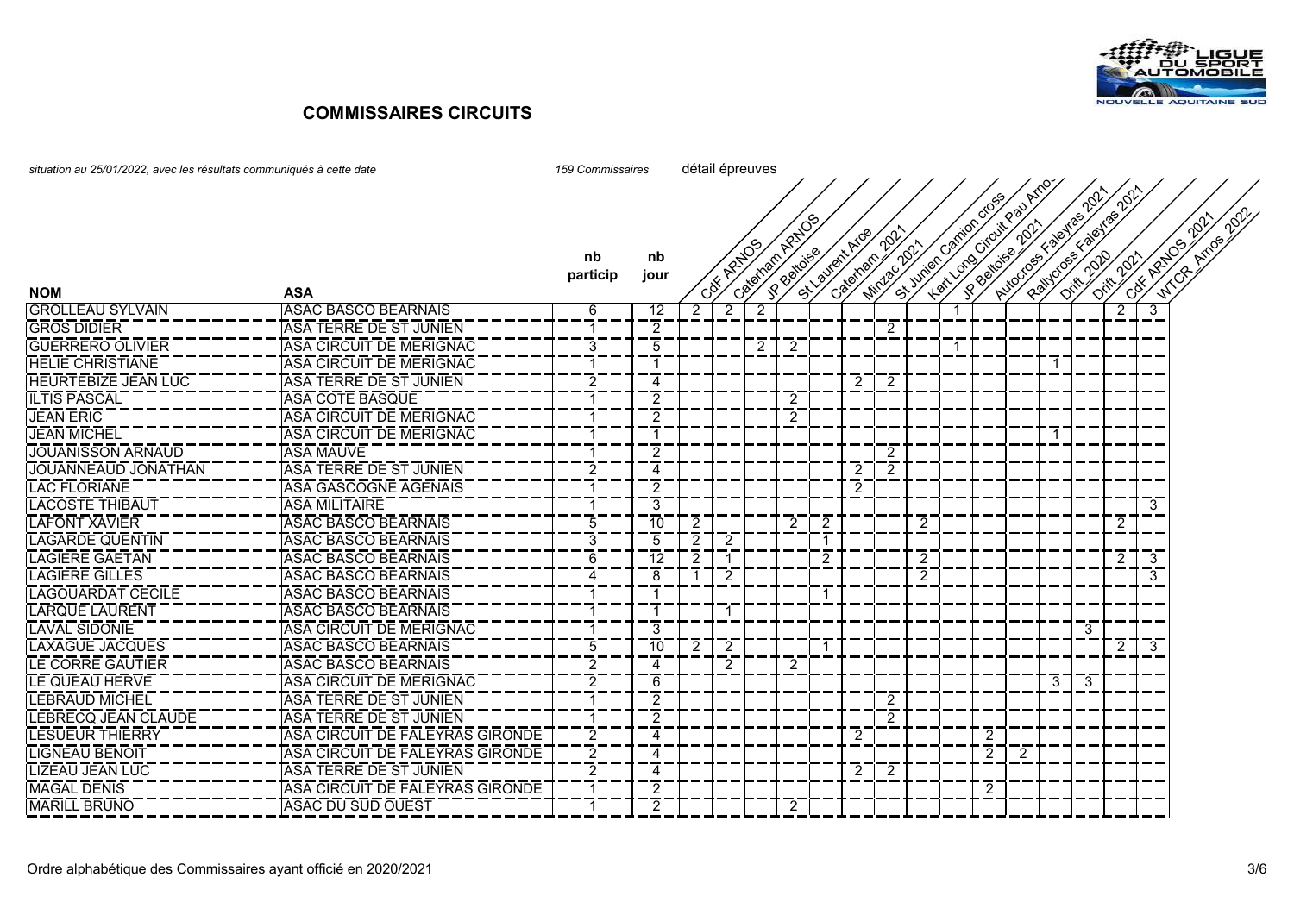

| situation au 25/01/2022, avec les résultats communiqués à cette date | 159 Commissaires                | détail épreuves |                |                |                |                    |                |    |                  |              |   |  |                       |                                         |   |                       |                     |   |                                             |
|----------------------------------------------------------------------|---------------------------------|-----------------|----------------|----------------|----------------|--------------------|----------------|----|------------------|--------------|---|--|-----------------------|-----------------------------------------|---|-----------------------|---------------------|---|---------------------------------------------|
|                                                                      |                                 |                 |                |                |                |                    |                |    |                  |              |   |  |                       |                                         |   |                       |                     |   |                                             |
|                                                                      |                                 |                 |                |                |                |                    |                |    |                  |              |   |  |                       |                                         |   |                       |                     |   |                                             |
|                                                                      |                                 |                 |                |                |                | Categories Retires |                |    |                  |              |   |  | St Junior Carico Cose | Lexicognosis pair<br>Nuccios valentasiv |   | Railroge Factors 2017 |                     |   | <b>NICOLE ATOMAGEMENT</b><br>CHE ARE DO TON |
|                                                                      |                                 |                 |                |                |                |                    |                |    | St. Vallert Arge | 2021         |   |  |                       |                                         |   |                       |                     |   |                                             |
|                                                                      |                                 | nb              | nb             |                | City Azzlos    |                    | <b>SPROVER</b> |    | Cateman          | Mindage 2021 |   |  |                       |                                         |   |                       | <b>Diffusion Rd</b> |   |                                             |
|                                                                      |                                 | particip        | jour           |                |                |                    |                |    |                  |              |   |  |                       |                                         |   |                       |                     |   |                                             |
| <b>NOM</b>                                                           | <b>ASA</b>                      |                 |                |                |                |                    |                |    |                  |              |   |  |                       |                                         |   |                       |                     |   |                                             |
| <b>GROLLEAU SYLVAIN</b>                                              | ASAC BASCO BEARNAIS             | 6               | 12             | $\overline{c}$ | $\overline{2}$ | $\overline{2}$     |                |    |                  |              |   |  |                       |                                         |   |                       | $\overline{c}$      | 3 |                                             |
| <b>GROS DIDIER</b>                                                   | ASA TERRE DE ST JUNIEN          | 1               | 2              |                |                |                    |                |    |                  | $\mathbf{2}$ |   |  |                       |                                         |   |                       |                     |   |                                             |
| <b>GUERRERO OLIVIER</b>                                              | ASA CIRCUIT DE MERIGNAC         | 3               | 5              |                |                | 2                  | 2              |    |                  |              |   |  |                       |                                         |   |                       |                     |   |                                             |
| <b>HELIE CHRISTIANE</b>                                              | ASA CIRCUIT DE MERIGNAC         | -1              |                |                |                |                    |                |    |                  |              |   |  |                       |                                         |   |                       |                     |   |                                             |
| <b>HEURTEBIZE JEAN LUC</b>                                           | ASA TERRE DE ST JUNIEN          | 2               | 4              |                |                |                    |                |    | 2                | 2            |   |  |                       |                                         |   |                       |                     |   |                                             |
| <b>ILTIS PASCAL</b>                                                  | <b>ASA COTE BASQUE</b>          | 1               | $\overline{2}$ |                |                |                    | $\overline{2}$ |    |                  |              |   |  |                       |                                         |   |                       |                     |   |                                             |
| <b>JEAN ERIC</b>                                                     | ASA CIRCUIT DE MERIGNAC         | -1              | 2              |                |                |                    | 2              |    |                  |              |   |  |                       |                                         |   |                       |                     |   |                                             |
| <b>JEAN MICHEL</b>                                                   | ASA CIRCUIT DE MERIGNAC         | -1              | 1              |                |                |                    |                |    |                  |              |   |  |                       |                                         |   |                       |                     |   |                                             |
| <b>JOUANISSON ARNAUD</b>                                             | <b>ASA MAUVE</b>                | 1               | 2              |                |                |                    |                |    |                  | 2            |   |  |                       |                                         |   |                       |                     |   |                                             |
| <b>JOUANNEAUD JONATHAN</b>                                           | ASA TERRE DE ST JUNIEN          | $\overline{2}$  | 4              |                |                |                    |                |    | 2                | 2            |   |  |                       |                                         |   |                       |                     |   |                                             |
| <b>LAC FLORIANE</b>                                                  | <b>ASA GASCOGNE AGENAIS</b>     | -1              | 2              |                |                |                    |                |    | 2                |              |   |  |                       |                                         |   |                       |                     |   |                                             |
| <b>LACOSTE THIBAUT</b>                                               | <b>ASA MILITAIRE</b>            | 1               | 3              |                |                |                    |                |    |                  |              |   |  |                       |                                         |   |                       |                     | 3 |                                             |
| <b>LAFONT XAVIER</b>                                                 | <b>ASAC BASCO BEARNAIS</b>      | 5               | 10             | 2              |                |                    | 2              | 2  |                  |              | 2 |  |                       |                                         |   |                       | $\overline{2}$      |   |                                             |
| <b>LAGARDE QUENTIN</b>                                               | <b>ASAC BASCO BEARNAIS</b>      | 3               | 5              | $\overline{2}$ | -2             |                    |                | -1 |                  |              |   |  |                       |                                         |   |                       |                     |   |                                             |
| <b>LAGIERE GAETAN</b>                                                | <b>ASAC BASCO BEARNAIS</b>      | 6               | 12             | 2              |                |                    |                | 2  |                  |              | 2 |  |                       |                                         |   |                       | 2                   | 3 |                                             |
| <b>LAGIERE GILLES</b>                                                | <b>ASAC BASCO BEARNAIS</b>      | 4               | 8              |                | 2              |                    |                |    |                  |              | 2 |  |                       |                                         |   |                       |                     | 3 |                                             |
| <b>LAGOUARDAT CECILE</b>                                             | <b>ASAC BASCO BEARNAIS</b>      | 1               |                |                |                |                    |                | -1 |                  |              |   |  |                       |                                         |   |                       |                     |   |                                             |
| <b>LARQUE LAURENT</b>                                                | <b>ASAC BASCO BEARNAIS</b>      | 1               | -1             |                | -1             |                    |                |    |                  |              |   |  |                       |                                         |   |                       |                     |   |                                             |
| <b>LAVAL SIDONIE</b>                                                 | ASA CIRCUIT DE MERIGNAC         | 1               | 3              |                |                |                    |                |    |                  |              |   |  |                       |                                         |   | 3                     |                     |   |                                             |
| <b>LAXAGUE JACQUES</b>                                               | <b>ASAC BASCO BEARNAIS</b>      | 5               | 10             | 2              | 2              |                    |                | -1 |                  |              |   |  |                       |                                         |   |                       | 2                   | 3 |                                             |
| <b>ILE CORRE GAUTIER</b>                                             | <b>ASAC BASCO BEARNAIS</b>      | $\overline{2}$  | 4              |                | 2              |                    | 2              |    |                  |              |   |  |                       |                                         |   |                       |                     |   |                                             |
| LE QUEAU HERVE                                                       | ASA CIRCUIT DE MERIGNAC         | $\overline{2}$  | 6              |                |                |                    |                |    |                  |              |   |  |                       |                                         | 3 | -3                    |                     |   |                                             |
| LEBRAUD MICHEL                                                       | ASA TERRE DE ST JUNIEN          | 1               | 2              |                |                |                    |                |    |                  | 2            |   |  |                       |                                         |   |                       |                     |   |                                             |
| <b>LEBRECQ JEAN CLAUDE</b>                                           | <b>ASA TERRE DE ST JUNIEN</b>   | -1              | $\overline{2}$ |                |                |                    |                |    |                  | 2            |   |  |                       |                                         |   |                       |                     |   |                                             |
| <b>LESUEUR THIERRY</b>                                               | ASA CIRCUIT DE FALEYRAS GIRONDE | $\overline{2}$  | 4              |                |                |                    |                |    | 2                |              |   |  | 2                     |                                         |   |                       |                     |   |                                             |
| <b>LIGNEAU BENOIT</b>                                                | ASA CIRCUIT DE FALEYRAS GIRONDE | $\overline{2}$  | 4              |                |                |                    |                |    |                  |              |   |  | $\overline{2}$        | 2                                       |   |                       |                     |   |                                             |
| <b>LIZEAU JEAN LUC</b>                                               | ASA TERRE DE ST JUNIEN          | 2               | 4              |                |                |                    |                |    | 2                | 2            |   |  |                       |                                         |   |                       |                     |   |                                             |
| <b>MAGAL DENIS</b>                                                   | ASA CIRCUIT DE FALEYRAS GIRONDE |                 | 2              |                |                |                    |                |    |                  |              |   |  | 2                     |                                         |   |                       |                     |   |                                             |
| <b>MARILL BRUNO</b>                                                  | <b>ASAC DU SUD OUEST</b>        |                 | $\mathcal{P}$  |                |                |                    | 2              |    |                  |              |   |  |                       |                                         |   |                       |                     |   |                                             |
|                                                                      |                                 |                 |                |                |                |                    |                |    |                  |              |   |  |                       |                                         |   |                       |                     |   |                                             |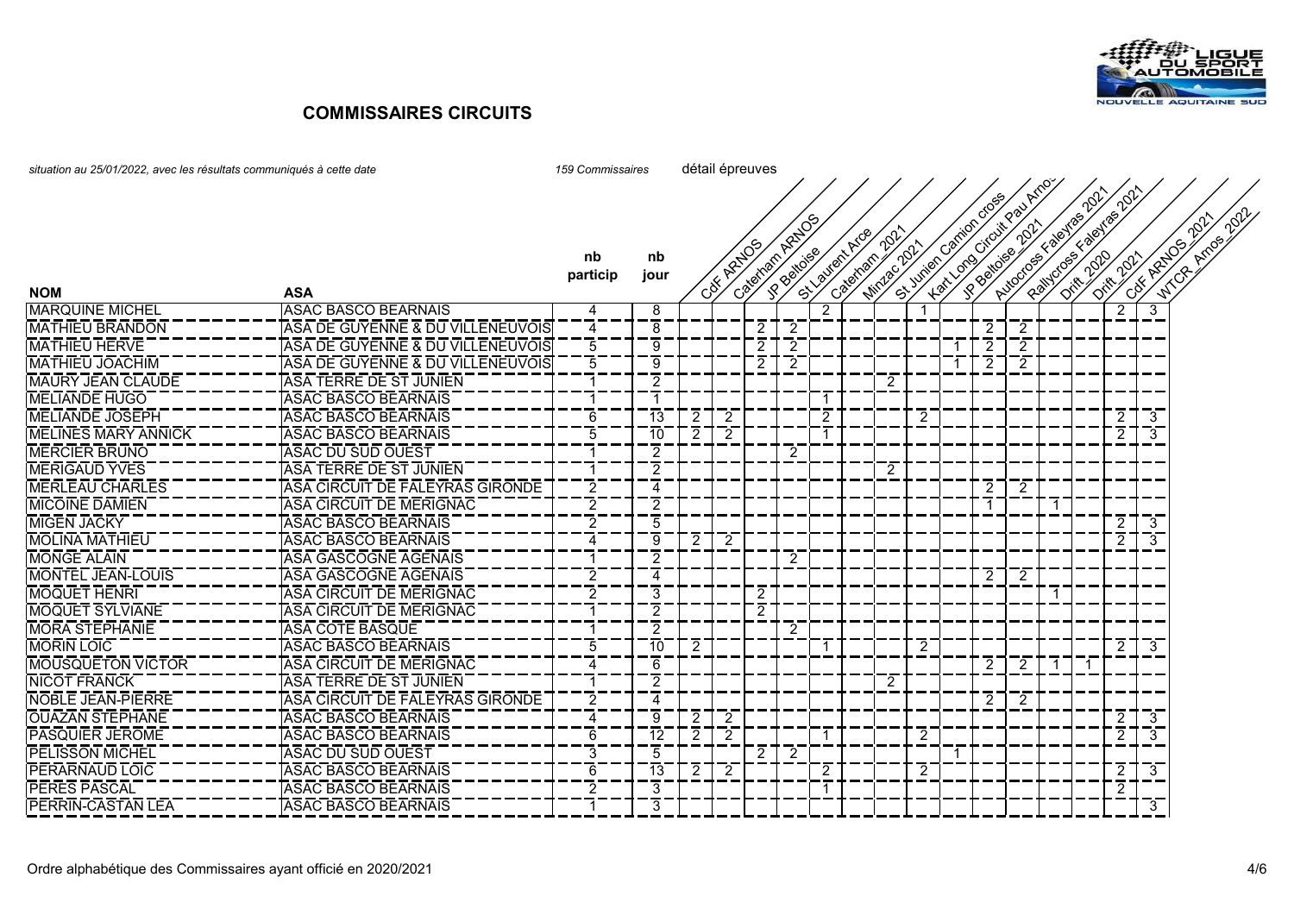

| situation au 25/01/2022, avec les résultats communiqués à cette date |                                  | 159 Commissaires | détail épreuves |   |           |                |   |                |                             |                |   |                     |                                             |                 |                        |  |                |                         |              |
|----------------------------------------------------------------------|----------------------------------|------------------|-----------------|---|-----------|----------------|---|----------------|-----------------------------|----------------|---|---------------------|---------------------------------------------|-----------------|------------------------|--|----------------|-------------------------|--------------|
|                                                                      |                                  |                  |                 |   |           | Cateman Ratio  |   |                | $\gamma^{\circ}$            |                |   | St June of Omborson | Autorios < paires 2011<br>Lexicons crioling |                 | Railways & Baylos 2017 |  |                | W.C.B. Arms 2022        |              |
|                                                                      |                                  | nb               | nb              |   | CSK ARADS |                |   |                | St. Vallent Arge<br>Cateman | Mindage 2021   |   |                     |                                             | R Battolee 2011 |                        |  | Differences    |                         | Cott ARDOS V |
| <b>NOM</b>                                                           | <b>ASA</b>                       | particip         | jour            |   |           |                |   |                |                             |                |   |                     |                                             |                 |                        |  |                |                         |              |
| <b>MARQUINE MICHEL</b>                                               | <b>ASAC BASCO BEARNAIS</b>       | Δ                | 8               |   |           |                |   | 2              |                             |                |   |                     |                                             |                 |                        |  | $\overline{2}$ | 3                       |              |
| <b>MATHIEU BRANDON</b>                                               | ASA DE GUYENNE & DU VILLENEUVOIS | 4                | 8               |   |           | 2              | 2 |                |                             |                |   |                     | $\overline{2}$                              | $\overline{2}$  |                        |  |                |                         |              |
| <b>MATHIEU HERVE</b>                                                 | ASA DE GUYENNE & DU VILLENEUVOIS | 5                | 9               |   |           | $\overline{2}$ | 2 |                |                             |                |   |                     | $\overline{2}$                              | 2               |                        |  |                |                         |              |
| <b>MATHIEU JOACHIM</b>                                               | ASA DE GUYENNE & DU VILLENEUVOIS | $\overline{5}$   | 9               |   |           | 2              | 2 |                |                             |                |   |                     | 2                                           | 2               |                        |  |                |                         |              |
| <b>MAURY JEAN CLAUDE</b>                                             | <b>ASA TERRE DE ST JUNIEN</b>    |                  | 2               |   |           |                |   |                |                             | 2              |   |                     |                                             |                 |                        |  |                |                         |              |
| <b>MELIANDE HUGO</b>                                                 | <b>ASAC BASCO BEARNAIS</b>       |                  | -1              |   |           |                |   | $\overline{1}$ |                             |                |   |                     |                                             |                 |                        |  |                |                         |              |
| <b>MELIANDE JOSEPH</b>                                               | <b>ASAC BASCO BEARNAIS</b>       | 6                | 13              |   | 2         |                |   | 2              |                             |                | 2 |                     |                                             |                 |                        |  | $\overline{2}$ | 3                       |              |
| <b>MELINES MARY ANNICK</b>                                           | <b>ASAC BASCO BEARNAIS</b>       | 5                | 10              | 2 | 2         |                |   |                |                             |                |   |                     |                                             |                 |                        |  | $\overline{2}$ | 3                       |              |
| <b>MERCIER BRUNO</b>                                                 | <b>ASAC DU SUD OUEST</b>         |                  | 2               |   |           |                | 2 |                |                             |                |   |                     |                                             |                 |                        |  |                |                         |              |
| <b>MERIGAUD YVES</b>                                                 | TASA TERRE DE ST JUNIEN          |                  | 2               |   |           |                |   |                |                             | 2              |   |                     |                                             |                 |                        |  |                |                         |              |
| <b>MERLEAU CHARLES</b>                                               | ASA CIRCUIT DE FALEYRAS GIRONDE  | $\overline{2}$   | 4               |   |           |                |   |                |                             |                |   |                     | $\overline{2}$                              | $\overline{2}$  |                        |  |                |                         |              |
| <b>MICOINE DAMIEN</b>                                                | TASA CIRCUIT DE MERIGNAC         | $\overline{2}$   | 2               |   |           |                |   |                |                             |                |   |                     | $\mathbf{1}$                                |                 | -1                     |  |                |                         |              |
| <b>MIGEN JACKY</b>                                                   | <b>ASAC BASCO BEARNAIS</b>       | 2                | 5               |   |           |                |   |                |                             |                |   |                     |                                             |                 |                        |  | $\overline{2}$ | -3                      |              |
| <b>MOLINA MATHIEU</b>                                                | ASAC BASCO BEARNAIS              | $\overline{4}$   | 9               | 2 | 2         |                |   |                |                             |                |   |                     |                                             |                 |                        |  | $\overline{2}$ | $\overline{3}$          |              |
| <b>MONGE ALAIN</b>                                                   | <u>TASA GASCOGNE AGENAIS</u>     |                  | 2               |   |           |                | 2 |                |                             |                |   |                     |                                             |                 |                        |  |                |                         |              |
| <b>MONTEL JEAN-LOUIS</b>                                             | <b>ASA GASCOGNE AGENAIS</b>      | 2                | 4               |   |           |                |   |                |                             |                |   |                     | 2                                           | $\overline{2}$  |                        |  |                |                         |              |
| <b>MOQUET HENRI</b>                                                  | TASA CIRCUIT DE MERIGNAC         | $\overline{2}$   | 3               |   |           | 2              |   |                |                             |                |   |                     |                                             |                 | $\overline{1}$         |  |                |                         |              |
| <b>MOQUET SYLVIANE</b>                                               | ASA CIRCUIT DE MERIGNAC          |                  | 2               |   |           | 2              |   |                |                             |                |   |                     |                                             |                 |                        |  |                |                         |              |
| <b>MORA STEPHANIE</b>                                                | <b>ASA COTE BASQUE</b>           |                  | 2               |   |           |                | 2 |                |                             |                |   |                     |                                             |                 |                        |  |                |                         |              |
| <b>MORIN LOIC</b>                                                    | <b>ASAC BASCO BEARNAIS</b>       | $\overline{5}$   | $\overline{10}$ | 2 |           |                |   |                |                             |                | 2 |                     |                                             |                 |                        |  | $\overline{2}$ | $\overline{3}$          |              |
| <b>MOUSQUETON VICTOR</b>                                             | <b>ASA CIRCUIT DE MERIGNAC</b>   | $\overline{4}$   | 6               |   |           |                |   |                |                             |                |   |                     | 2                                           | $\overline{2}$  | -1                     |  |                |                         |              |
| <b>NICOT FRANCK</b>                                                  | IASA TERRE DE ST JUNIEN          |                  | 2               |   |           |                |   |                |                             | $\overline{c}$ |   |                     |                                             |                 |                        |  |                |                         |              |
| NOBLE JEAN-PIERRE                                                    | ASA CIRCUIT DE FALEYRAS GIRONDE  | $\overline{2}$   | 4               |   |           |                |   |                |                             |                |   |                     | $\overline{2}$                              | $\overline{2}$  |                        |  |                |                         |              |
| <b>OUAZAN STEPHANE</b>                                               | TASAC BASCO BEARNAIS             | $\overline{4}$   | 9               | 2 | 2         |                |   |                |                             |                |   |                     |                                             |                 |                        |  | $2^{\circ}$    | $\mathbf{3}$            |              |
| <b>PASQUIER JEROME</b>                                               | ASAC BASCO BEARNAIS              | 6                | $\overline{12}$ |   | 2         |                |   |                |                             |                | 2 |                     |                                             |                 |                        |  | $\overline{2}$ | $\overline{3}$          |              |
| <b>PELISSON MICHEL</b>                                               | <b>ASAC DU SUD OUEST</b>         | 3                | 5               |   |           | 2              | 2 |                |                             |                |   |                     |                                             |                 |                        |  |                |                         |              |
| <b>PERARNAUD LOIC</b>                                                | <b>ASAC BASCO BEARNAIS</b>       | 6                | $\overline{13}$ |   |           |                |   | 2              |                             |                | 2 |                     |                                             |                 |                        |  | $\overline{2}$ | $\overline{\mathbf{3}}$ |              |
| <b>PERES PASCAL</b>                                                  | <b>ASAC BASCO BEARNAIS</b>       | $\overline{2}$   | 3               |   |           |                |   |                |                             |                |   |                     |                                             |                 |                        |  | $\overline{2}$ |                         |              |
| <b>PERRIN-CASTAN LEA</b>                                             | <b>ASAC BASCO BEARNAIS</b>       |                  | 3               |   |           |                |   |                |                             |                |   |                     |                                             |                 |                        |  |                | 3                       |              |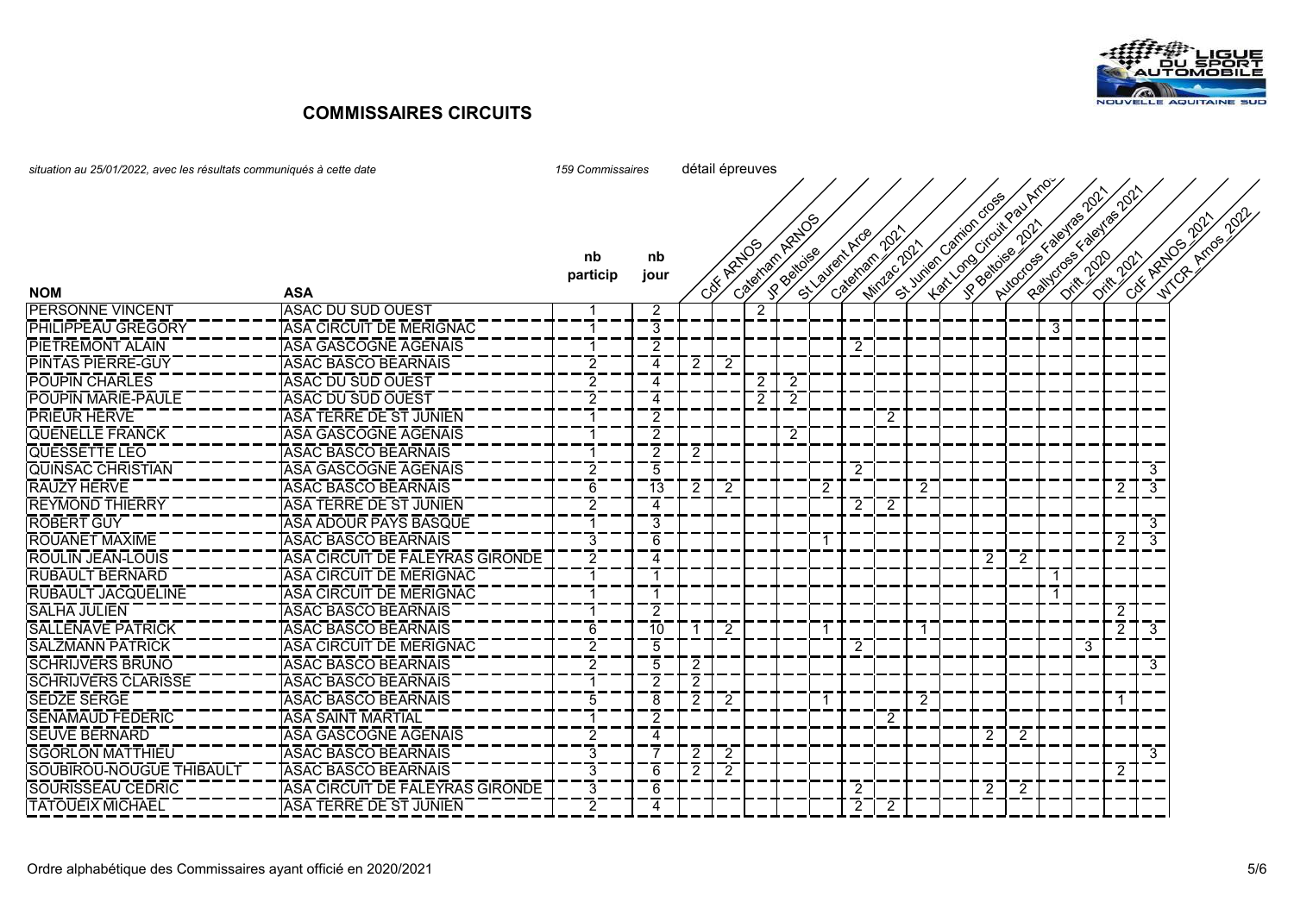

| situation au 25/01/2022, avec les résultats communiqués à cette date | 159 Commissaires                | détail épreuves |                |   |           |   |                |                 |                |                     |                |  |                                                     |                      |                              |   |                       |                |                             |
|----------------------------------------------------------------------|---------------------------------|-----------------|----------------|---|-----------|---|----------------|-----------------|----------------|---------------------|----------------|--|-----------------------------------------------------|----------------------|------------------------------|---|-----------------------|----------------|-----------------------------|
|                                                                      |                                 |                 |                |   |           |   |                |                 |                |                     |                |  |                                                     |                      |                              |   |                       |                | <b>Arrival 2022</b><br>2021 |
| <b>NOM</b>                                                           | <b>ASA</b>                      | nb<br>particip  | nb<br>jour     |   | CSK ARADS |   | Cateman Ratios | St. Valley Arge | Cateman        | 202<br>Mindage 2021 |                |  | Hart Long Citail Pau Arno<br>St Junier carico coses | Autocos E valentas k | <b>PAINDOS &amp; BRITISH</b> |   | <b>Diffusion Coll</b> |                | City Azubarr<br><b>Mich</b> |
| <b>PERSONNE VINCENT</b>                                              | <b>ASAC DU SUD OUEST</b>        | -1              | $\overline{2}$ |   |           | 2 |                |                 |                |                     |                |  |                                                     |                      |                              |   |                       |                |                             |
| <b>PHILIPPEAU GREGORY</b>                                            | ASA CIRCUIT DE MERIGNAC         | $\mathbf{1}$    | $\overline{3}$ |   |           |   |                |                 |                |                     |                |  |                                                     |                      | 3                            |   |                       |                |                             |
| <b>PIETREMONT ALAIN</b>                                              | ASA GASCOGNE AGENAIS            | $\mathbf 1$     | $\overline{2}$ |   |           |   |                |                 | 2              |                     |                |  |                                                     |                      |                              |   |                       |                |                             |
| <b>PINTAS PIERRE-GUY</b>                                             | <b>ASAC BASCO BEARNAIS</b>      | $\overline{2}$  | 4              |   | -2        |   |                |                 |                |                     |                |  |                                                     |                      |                              |   |                       |                |                             |
| <b>POUPIN CHARLES</b>                                                | <b>ASAC DU SUD OUEST</b>        | 2               | 4              |   |           | 2 | -2             |                 |                |                     |                |  |                                                     |                      |                              |   |                       |                |                             |
| <b>POUPIN MARIE-PAULE</b>                                            | <b>ASAC DU SUD OUEST</b>        | $\overline{2}$  | 4              |   |           | 2 | -2             |                 |                |                     |                |  |                                                     |                      |                              |   |                       |                |                             |
| <b>PRIEUR HERVE</b>                                                  | <b>ASA TERRE DE ST JUNIEN</b>   | -1              | $\overline{2}$ |   |           |   |                |                 |                | 2                   |                |  |                                                     |                      |                              |   |                       |                |                             |
| <b>QUENELLE FRANCK</b>                                               | <b>ASA GASCOGNE AGENAIS</b>     | -1              | $\overline{2}$ |   |           |   | 2              |                 |                |                     |                |  |                                                     |                      |                              |   |                       |                |                             |
| <b>QUESSETTE LEO</b>                                                 | <b>ASAC BASCO BEARNAIS</b>      |                 | $\overline{2}$ | 2 |           |   |                |                 |                |                     |                |  |                                                     |                      |                              |   |                       |                |                             |
| <b>QUINSAC CHRISTIAN</b>                                             | <b>ASA GASCOGNE AGENAIS</b>     | $\overline{2}$  | 5              |   |           |   |                |                 | $\overline{2}$ |                     |                |  |                                                     |                      |                              |   |                       | 3              |                             |
| <b>RAUZY HERVE</b>                                                   | <b>ASAC BASCO BEARNAIS</b>      | 6               | 13             | 2 | 2         |   |                | 2               |                |                     | 2              |  |                                                     |                      |                              |   | 2                     | $\overline{3}$ |                             |
| <b>REYMOND THIERRY</b>                                               | <b>ASA TERRE DE ST JUNIEN</b>   | $\overline{c}$  | 4              |   |           |   |                |                 | 2              | 2                   |                |  |                                                     |                      |                              |   |                       |                |                             |
| <b>ROBERT GUY</b>                                                    | ASA ADOUR PAYS BASQUE           | $\mathbf{1}$    | $\overline{3}$ |   |           |   |                |                 |                |                     |                |  |                                                     |                      |                              |   |                       | 3              |                             |
| <b>ROUANET MAXIME</b>                                                | <b>ASAC BASCO BEARNAIS</b>      | $\overline{3}$  | 6              |   |           |   |                |                 |                |                     |                |  |                                                     |                      |                              |   | 2                     | $3-$           |                             |
| <u> ROULIN JEAN-LOUIS</u>                                            | ASA CIRCUIT DE FALEYRAS GIRONDE | $\overline{c}$  | 4              |   |           |   |                |                 |                |                     |                |  | 2                                                   | 2                    |                              |   |                       |                |                             |
| <b>RUBAULT BERNARD</b>                                               | <b>ASA CIRCUIT DE MERIGNAC</b>  | $\mathbf 1$     |                |   |           |   |                |                 |                |                     |                |  |                                                     |                      | $\mathbf 1$                  |   |                       |                |                             |
| <b>RUBAULT JACQUELINE</b>                                            | ASA CIRCUIT DE MERIGNAC         | -1              |                |   |           |   |                |                 |                |                     |                |  |                                                     |                      | $\mathbf 1$                  |   |                       |                |                             |
| <b>SALHA JULIEN</b>                                                  | <b>ASAC BASCO BEARNAIS</b>      | $\mathbf 1$     | $\overline{2}$ |   |           |   |                |                 |                |                     |                |  |                                                     |                      |                              |   | 2                     |                |                             |
| <b>SALLENAVE PATRICK</b>                                             | <b>ASAC BASCO BEARNAIS</b>      | 6               | 10             |   | -2        |   |                |                 |                |                     | -1             |  |                                                     |                      |                              |   | $\overline{2}$        | 3              |                             |
| <b>SALZMANN PATRICK</b>                                              | ASA CIRCUIT DE MERIGNAC         | $\overline{2}$  | 5              |   |           |   |                |                 | 2              |                     |                |  |                                                     |                      |                              | 3 |                       |                |                             |
| <b>SCHRIJVERS BRUNO</b>                                              | <b>ASAC BASCO BEARNAIS</b>      | $\overline{2}$  | $\overline{5}$ | 2 |           |   |                |                 |                |                     |                |  |                                                     |                      |                              |   |                       | 3              |                             |
| SCHRIJVERS CLARISSE                                                  | ASAC BASCO BEARNAIS             | -1              | $\overline{2}$ | 2 |           |   |                |                 |                |                     |                |  |                                                     |                      |                              |   |                       |                |                             |
| <b>SEDZE SERGE</b>                                                   | <b>ASAC BASCO BEARNAIS</b>      | 5               | 8              | 2 | -2        |   |                |                 |                |                     | $\overline{2}$ |  |                                                     |                      |                              |   |                       |                |                             |
| <b>SENAMAUD FEDERIC</b>                                              | <b>ASA SAINT MARTIAL</b>        | -1              | $\overline{2}$ |   |           |   |                |                 |                | 2                   |                |  |                                                     |                      |                              |   |                       |                |                             |
| <b>ISEUVE BERNARD</b>                                                | <b>ASA GASCOGNE AGENAIS</b>     | $\overline{2}$  | 4              |   |           |   |                |                 |                |                     |                |  | $\overline{2}$                                      | 2                    |                              |   |                       |                |                             |
| <b>SGORLON MATTHIEU</b>                                              | <b>ASAC BASCO BEARNAIS</b>      | 3               |                | 2 | 2         |   |                |                 |                |                     |                |  |                                                     |                      |                              |   |                       | 3              |                             |
| SOUBIROU-NOUGUE THIBAULT                                             | <b>ASAC BASCO BEARNAIS</b>      | 3               | 6              | 2 | 2         |   |                |                 |                |                     |                |  |                                                     |                      |                              |   | 2                     |                |                             |
| <b>SOURISSEAU CEDRIC</b>                                             | ASA CIRCUIT DE FALEYRAS GIRONDE | 3               | 6              |   |           |   |                |                 | 2              |                     |                |  | $\overline{2}$                                      | 2                    |                              |   |                       |                |                             |
| <b>TATOUEIX MICHAEL</b>                                              | <b>ASA TERRE DE ST JUNIEN</b>   | $\overline{2}$  | 4              |   |           |   |                |                 | $\overline{2}$ | 2                   |                |  |                                                     |                      |                              |   |                       |                |                             |